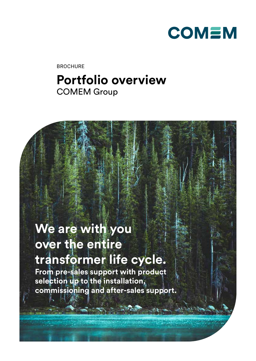

BROCHURE

## **Portfolio overview** COMEM Group

# **We are with you over the entire transformer life cycle. From pre-sales support with product selection up to the installation, commissioning and after-sales support.**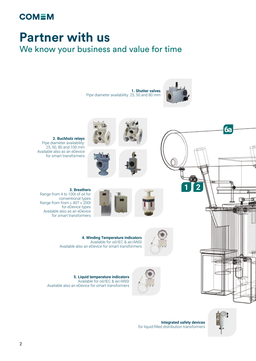### **COMEM**

# **Partner with us** We know your business and value for time

**1. Shutter valves** Pipe diameter availability: 25, 50 and 80 mm







**Integrated safety devices** for liquid-filled distribution transformers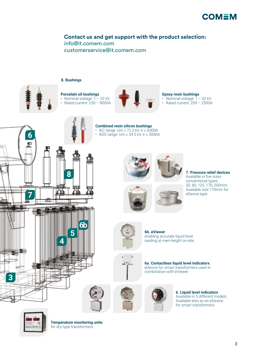

### **Contact us and get support with the product selection:** [info@it.comem.com](mailto:info%40it.comem.com%20?subject=) [customerservice@it.comem.com](mailto:customerservice%40it.comem.com?subject=)







#### **Epoxy resin bushings**

• Nominal voltage: 1 - 42 kV • Rated current: 250 – 2500A





**Temperature monitoring units** for dry-type transformers